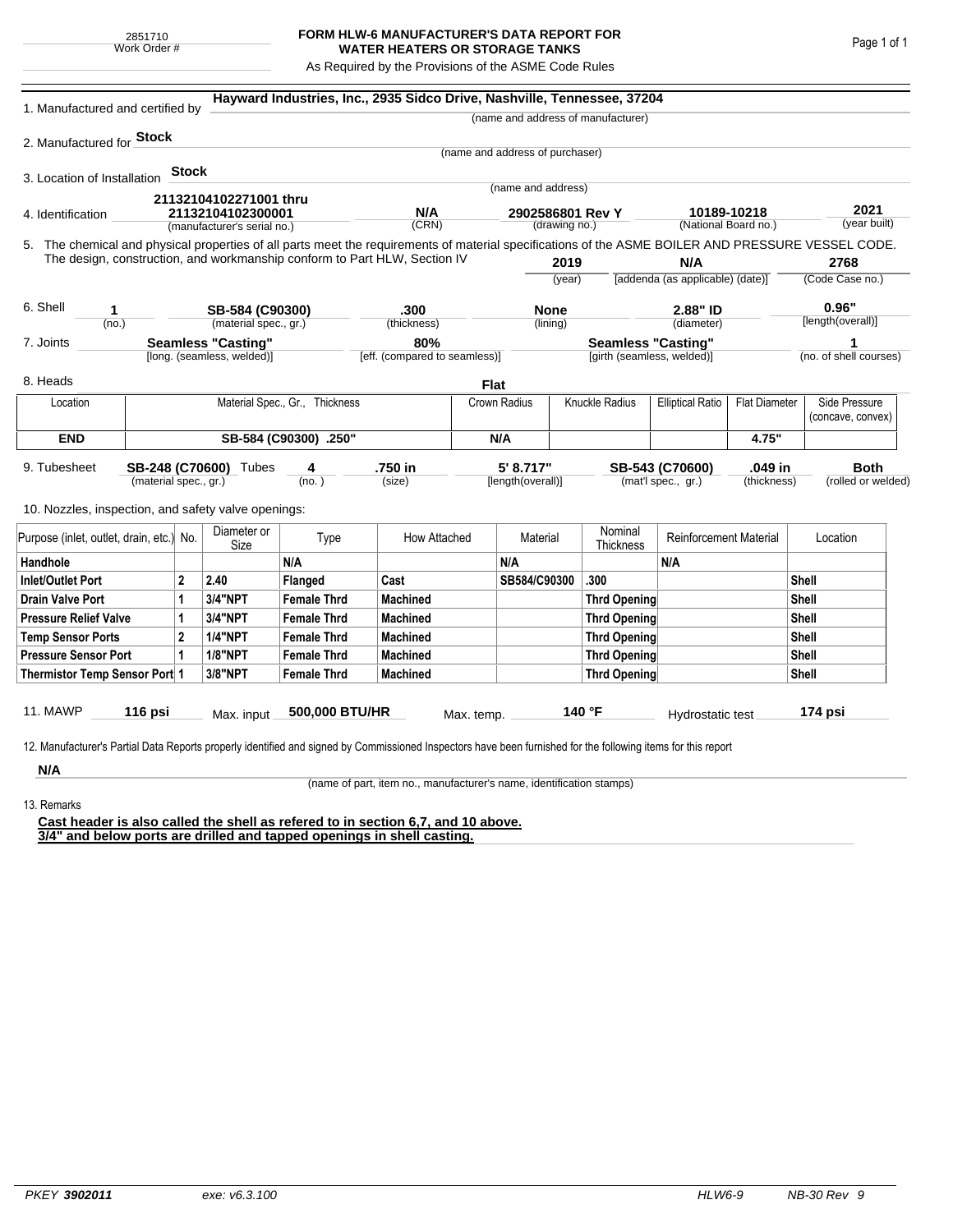## **FORM HLW-6 MANUFACTURER'S DATA REPORT FOR WATER HEATERS OR STORAGE TANKS**

As Required by the Provisions of the ASME Code Rules

| 1. Manufactured and certified by                                                                                                                                                                                                               |                                |       |                                                  |                    | Hayward Industries, Inc., 2935 Sidco Drive, Nashville, Tennessee, 37204 |                                |                                   |              |                                                                 |                                                 |                   |                                   |                                    |
|------------------------------------------------------------------------------------------------------------------------------------------------------------------------------------------------------------------------------------------------|--------------------------------|-------|--------------------------------------------------|--------------------|-------------------------------------------------------------------------|--------------------------------|-----------------------------------|--------------|-----------------------------------------------------------------|-------------------------------------------------|-------------------|-----------------------------------|------------------------------------|
|                                                                                                                                                                                                                                                |                                |       |                                                  |                    |                                                                         |                                |                                   |              | (name and address of manufacturer)                              |                                                 |                   |                                   |                                    |
| 2. Manufactured for <b>Stock</b>                                                                                                                                                                                                               |                                |       |                                                  |                    |                                                                         |                                |                                   |              |                                                                 |                                                 |                   |                                   |                                    |
|                                                                                                                                                                                                                                                |                                |       |                                                  |                    |                                                                         |                                | (name and address of purchaser)   |              |                                                                 |                                                 |                   |                                   |                                    |
| 3. Location of Installation                                                                                                                                                                                                                    |                                | Stock |                                                  |                    |                                                                         |                                | (name and address)                |              |                                                                 |                                                 |                   |                                   |                                    |
|                                                                                                                                                                                                                                                |                                |       | 21132104102271001 thru                           |                    |                                                                         |                                |                                   |              |                                                                 |                                                 |                   |                                   |                                    |
| 4. Identification                                                                                                                                                                                                                              |                                |       | 21132104102300001<br>(manufacturer's serial no.) |                    | N/A<br>(CRN)                                                            |                                | 2902586801 Rev Y<br>(drawing no.) |              | 10189-10218<br>(National Board no.)                             |                                                 |                   |                                   | 2021<br>(year built)               |
|                                                                                                                                                                                                                                                |                                |       |                                                  |                    |                                                                         |                                |                                   |              |                                                                 |                                                 |                   |                                   |                                    |
| 5. The chemical and physical properties of all parts meet the requirements of material specifications of the ASME BOILER AND PRESSURE VESSEL CODE.<br>The design, construction, and workmanship conform to Part HLW, Section IV<br>2019<br>N/A |                                |       |                                                  |                    |                                                                         |                                |                                   |              | 2768                                                            |                                                 |                   |                                   |                                    |
|                                                                                                                                                                                                                                                |                                |       |                                                  |                    |                                                                         |                                | (year)                            |              | [addenda (as applicable) (date)]                                |                                                 | (Code Case no.)   |                                   |                                    |
| 6. Shell<br>1                                                                                                                                                                                                                                  |                                |       | SB-584 (C90300)                                  |                    | .300                                                                    |                                | <b>None</b>                       |              | 2.88" ID                                                        |                                                 |                   |                                   | 0.96"                              |
| (no.)                                                                                                                                                                                                                                          |                                |       | (material spec., gr.)                            |                    | (thickness)                                                             |                                | (lining)                          |              | (diameter)                                                      |                                                 | [length(overall)] |                                   |                                    |
| <b>Seamless "Casting"</b><br>7. Joints                                                                                                                                                                                                         |                                |       |                                                  | 80%                | <b>Seamless "Casting"</b>                                               |                                |                                   |              |                                                                 | 1                                               |                   |                                   |                                    |
|                                                                                                                                                                                                                                                |                                |       | [long. (seamless, welded)]                       |                    | [eff. (compared to seamless)]                                           |                                |                                   |              | [girth (seamless, welded)]                                      |                                                 |                   |                                   | (no. of shell courses)             |
| 8. Heads                                                                                                                                                                                                                                       |                                |       |                                                  |                    |                                                                         | <b>Flat</b>                    |                                   |              |                                                                 |                                                 |                   |                                   |                                    |
| Location                                                                                                                                                                                                                                       | Material Spec., Gr., Thickness |       |                                                  |                    |                                                                         |                                | Knuckle Radius<br>Crown Radius    |              |                                                                 | <b>Elliptical Ratio</b><br><b>Flat Diameter</b> |                   |                                   | Side Pressure<br>(concave, convex) |
| <b>END</b>                                                                                                                                                                                                                                     | SB-584 (C90300) .250"          |       |                                                  |                    |                                                                         |                                | N/A                               |              |                                                                 | 4.75"                                           |                   |                                   |                                    |
| 9. Tubesheet<br>SB-248 (C70600) Tubes<br>(material spec., gr.)                                                                                                                                                                                 |                                |       |                                                  | 4<br>(no.)         | .750 in<br>(size)                                                       | 5' 8.717"<br>[length(overall)] |                                   |              | .049 in<br>SB-543 (C70600)<br>(mat'l spec., gr.)<br>(thickness) |                                                 |                   | <b>Both</b><br>(rolled or welded) |                                    |
| 10. Nozzles, inspection, and safety valve openings:                                                                                                                                                                                            |                                |       |                                                  |                    |                                                                         |                                |                                   |              |                                                                 |                                                 |                   |                                   |                                    |
| Purpose (inlet, outlet, drain, etc.) No.                                                                                                                                                                                                       |                                |       | Diameter or<br>Size                              | Type               | How Attached                                                            |                                | Material                          |              | Nominal<br>Thickness                                            | <b>Reinforcement Material</b>                   |                   |                                   | Location                           |
| Handhole                                                                                                                                                                                                                                       |                                |       |                                                  | N/A                |                                                                         |                                | N/A                               |              |                                                                 | N/A                                             |                   |                                   |                                    |
| 2<br>Inlet/Outlet Port                                                                                                                                                                                                                         |                                |       | 2.40                                             | Flanged            | Cast                                                                    |                                | SB584/C90300                      |              | .300                                                            |                                                 |                   | <b>Shell</b>                      |                                    |
| 1<br>Drain Valve Port                                                                                                                                                                                                                          |                                |       | 3/4"NPT                                          | <b>Female Thrd</b> | <b>Machined</b>                                                         |                                |                                   |              | Thrd Opening                                                    |                                                 |                   | Shell                             |                                    |
| <b>Pressure Relief Valve</b><br>1                                                                                                                                                                                                              |                                |       | 3/4"NPT                                          | <b>Female Thrd</b> | <b>Machined</b>                                                         |                                |                                   |              | Thrd Opening                                                    |                                                 | Shell             |                                   |                                    |
| $\overline{2}$<br><b>Temp Sensor Ports</b>                                                                                                                                                                                                     |                                |       | <b>1/4"NPT</b>                                   | <b>Female Thrd</b> | <b>Machined</b>                                                         |                                |                                   |              | Thrd Opening                                                    |                                                 |                   | Shell                             |                                    |
| <b>Pressure Sensor Port</b><br>1                                                                                                                                                                                                               |                                |       | <b>1/8"NPT</b>                                   | <b>Female Thrd</b> | <b>Machined</b>                                                         |                                |                                   |              | Thrd Opening                                                    |                                                 |                   | Shell                             |                                    |
| Thermistor Temp Sensor Port 1                                                                                                                                                                                                                  |                                |       | 3/8"NPT                                          | <b>Female Thrd</b> | <b>Machined</b>                                                         |                                |                                   | Thrd Opening |                                                                 |                                                 |                   | Shell                             |                                    |
| 11. MAWP                                                                                                                                                                                                                                       | 116 psi                        |       | Max. input                                       | 500,000 BTU/HR     |                                                                         | Max. temp.                     |                                   |              | 140 °F                                                          | Hydrostatic test                                |                   |                                   | 174 psi                            |
| 12. Manufacturer's Partial Data Reports properly identified and signed by Commissioned Inspectors have been furnished for the following items for this report                                                                                  |                                |       |                                                  |                    |                                                                         |                                |                                   |              |                                                                 |                                                 |                   |                                   |                                    |
| N/A                                                                                                                                                                                                                                            |                                |       |                                                  |                    |                                                                         |                                |                                   |              |                                                                 |                                                 |                   |                                   |                                    |

(name of part, item no., manufacturer's name, identification stamps)

13. Remarks

**Cast header is also called the shell as refered to in section 6,7, and 10 above. 3/4" and below ports are drilled and tapped openings in shell casting.**